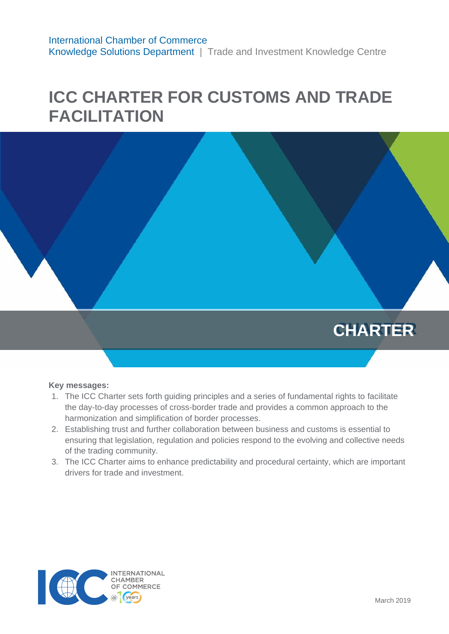# **ICC CHARTER FOR CUSTOMS AND TRADE FACILITATION**



#### **Key messages:**

- 1. The ICC Charter sets forth guiding principles and a series of fundamental rights to facilitate the day-to-day processes of cross-border trade and provides a common approach to the harmonization and simplification of border processes.
- 2. Establishing trust and further collaboration between business and customs is essential to ensuring that legislation, regulation and policies respond to the evolving and collective needs of the trading community.
- 3. The ICC Charter aims to enhance predictability and procedural certainty, which are important drivers for trade and investment.

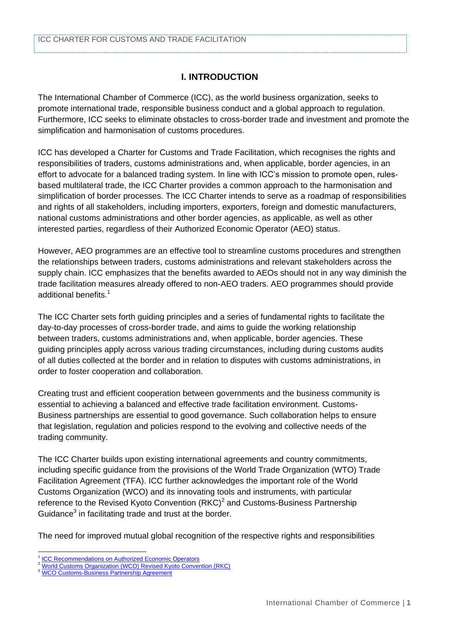# **I. INTRODUCTION**

The International Chamber of Commerce (ICC), as the world business organization, seeks to promote international trade, responsible business conduct and a global approach to regulation. Furthermore, ICC seeks to eliminate obstacles to cross-border trade and investment and promote the simplification and harmonisation of customs procedures.

ICC has developed a Charter for Customs and Trade Facilitation, which recognises the rights and responsibilities of traders, customs administrations and, when applicable, border agencies, in an effort to advocate for a balanced trading system. In line with ICC's mission to promote open, rulesbased multilateral trade, the ICC Charter provides a common approach to the harmonisation and simplification of border processes. The ICC Charter intends to serve as a roadmap of responsibilities and rights of all stakeholders, including importers, exporters, foreign and domestic manufacturers, national customs administrations and other border agencies, as applicable, as well as other interested parties, regardless of their Authorized Economic Operator (AEO) status.

However, AEO programmes are an effective tool to streamline customs procedures and strengthen the relationships between traders, customs administrations and relevant stakeholders across the supply chain. ICC emphasizes that the benefits awarded to AEOs should not in any way diminish the trade facilitation measures already offered to non-AEO traders. AEO programmes should provide additional benefits.<sup>1</sup>

The ICC Charter sets forth guiding principles and a series of fundamental rights to facilitate the day-to-day processes of cross-border trade, and aims to guide the working relationship between traders, customs administrations and, when applicable, border agencies. These guiding principles apply across various trading circumstances, including during customs audits of all duties collected at the border and in relation to disputes with customs administrations, in order to foster cooperation and collaboration.

Creating trust and efficient cooperation between governments and the business community is essential to achieving a balanced and effective trade facilitation environment. Customs-Business partnerships are essential to good governance. Such collaboration helps to ensure that legislation, regulation and policies respond to the evolving and collective needs of the trading community.

The ICC Charter builds upon existing international agreements and country commitments, including specific guidance from the provisions of the World Trade Organization (WTO) Trade Facilitation Agreement (TFA). ICC further acknowledges the important role of the World Customs Organization (WCO) and its innovating tools and instruments, with particular reference to the Revised Kyoto Convention  $(RKC)^2$  and Customs-Business Partnership Guidance $3$  in facilitating trade and trust at the border.

The need for improved mutual global recognition of the respective rights and responsibilities

 1 **[ICC Recommendations on Authorized Economic Operators](https://iccwbo.org/publication/icc-recommendations-on-authorized-economic-operators/)** 

<sup>&</sup>lt;sup>2</sup> [World Customs Organization \(WCO\) Revised Kyoto Convention \(RKC\)](http://www.wcoomd.org/en/topics/facilitation/instrument-and-tools/conventions/pf_revised_kyoto_conv.aspx)

[WCO Customs-Business Partnership Agreement](http://www.wcoomd.org/-/media/wco/public/global/pdf/topics/facilitation/instruments-and-tools/tools/customs-business-partnership-guidance/customs--business-partnership-guidance.pdf)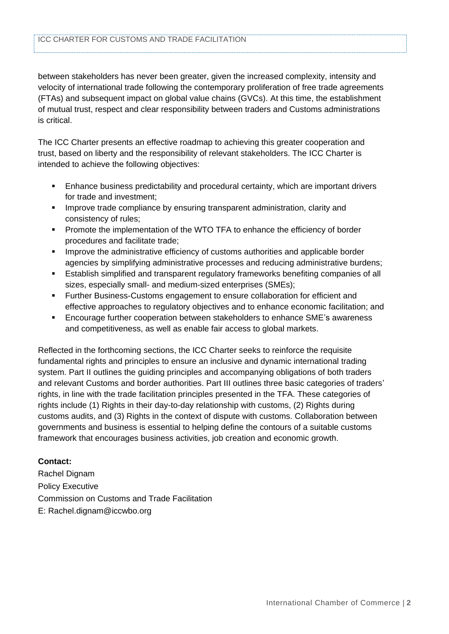between stakeholders has never been greater, given the increased complexity, intensity and velocity of international trade following the contemporary proliferation of free trade agreements (FTAs) and subsequent impact on global value chains (GVCs). At this time, the establishment of mutual trust, respect and clear responsibility between traders and Customs administrations is critical.

The ICC Charter presents an effective roadmap to achieving this greater cooperation and trust, based on liberty and the responsibility of relevant stakeholders. The ICC Charter is intended to achieve the following objectives:

- Enhance business predictability and procedural certainty, which are important drivers for trade and investment;
- **IMPROVE trade compliance by ensuring transparent administration, clarity and** consistency of rules;
- Promote the implementation of the WTO TFA to enhance the efficiency of border procedures and facilitate trade;
- **IMPROVE the administrative efficiency of customs authorities and applicable border** agencies by simplifying administrative processes and reducing administrative burdens;
- Establish simplified and transparent regulatory frameworks benefiting companies of all sizes, especially small- and medium-sized enterprises (SMEs);
- **Further Business-Customs engagement to ensure collaboration for efficient and** effective approaches to regulatory objectives and to enhance economic facilitation; and
- Encourage further cooperation between stakeholders to enhance SME's awareness and competitiveness, as well as enable fair access to global markets.

Reflected in the forthcoming sections, the ICC Charter seeks to reinforce the requisite fundamental rights and principles to ensure an inclusive and dynamic international trading system. Part II outlines the guiding principles and accompanying obligations of both traders and relevant Customs and border authorities. Part III outlines three basic categories of traders' rights, in line with the trade facilitation principles presented in the TFA. These categories of rights include (1) Rights in their day-to-day relationship with customs, (2) Rights during customs audits, and (3) Rights in the context of dispute with customs. Collaboration between governments and business is essential to helping define the contours of a suitable customs framework that encourages business activities, job creation and economic growth.

# **Contact:**

Rachel Dignam Policy Executive Commission on Customs and Trade Facilitation E: Rachel.dignam@iccwbo.org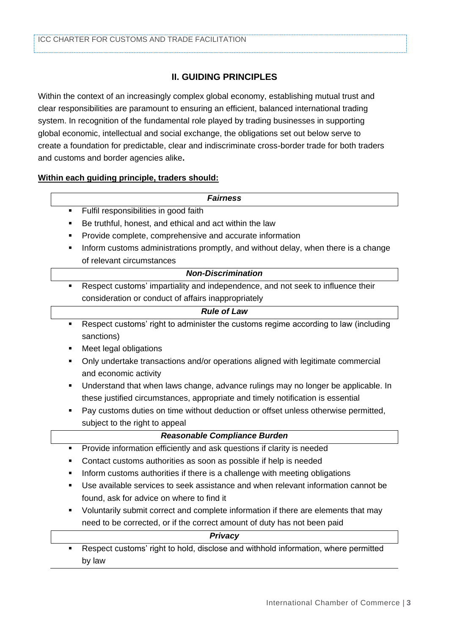# **II. GUIDING PRINCIPLES**

Within the context of an increasingly complex global economy, establishing mutual trust and clear responsibilities are paramount to ensuring an efficient, balanced international trading system. In recognition of the fundamental role played by trading businesses in supporting global economic, intellectual and social exchange, the obligations set out below serve to create a foundation for predictable, clear and indiscriminate cross-border trade for both traders and customs and border agencies alike**.**

#### **Within each guiding principle, traders should:**

#### *Fairness*

- **Fulfil responsibilities in good faith**
- Be truthful, honest, and ethical and act within the law
- Provide complete, comprehensive and accurate information
- **Inform customs administrations promptly, and without delay, when there is a change** of relevant circumstances

#### *Non-Discrimination*

 Respect customs' impartiality and independence, and not seek to influence their consideration or conduct of affairs inappropriately

| <b>Rule of Law</b> |  |
|--------------------|--|
|--------------------|--|

- Respect customs' right to administer the customs regime according to law (including sanctions)
- Meet legal obligations
- Only undertake transactions and/or operations aligned with legitimate commercial and economic activity
- Understand that when laws change, advance rulings may no longer be applicable. In these justified circumstances, appropriate and timely notification is essential
- **Pay customs duties on time without deduction or offset unless otherwise permitted,** subject to the right to appeal

| <b>Reasonable Compliance Burden</b>                                                      |
|------------------------------------------------------------------------------------------|
| Provide information efficiently and ask questions if clarity is needed<br>$\blacksquare$ |
| Contact customs authorities as soon as possible if help is needed<br>٠                   |
| Inform customs authorities if there is a challenge with meeting obligations<br>٠         |
| Use available services to seek assistance and when relevant information cannot be<br>٠   |
| found, ask for advice on where to find it                                                |
| Voluntarily submit correct and complete information if there are elements that may<br>٠  |
| need to be corrected, or if the correct amount of duty has not been paid                 |
| <b>Privacy</b>                                                                           |
| Represent quatame' right to hold disologe and withhold information where nermitted       |

 Respect customs' right to hold, disclose and withhold information, where permitted by law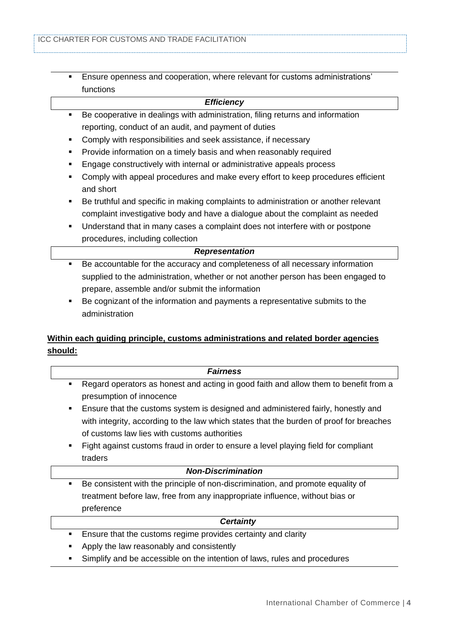Ensure openness and cooperation, where relevant for customs administrations' functions

#### *Efficiency*

- Be cooperative in dealings with administration, filing returns and information reporting, conduct of an audit, and payment of duties
- **Comply with responsibilities and seek assistance, if necessary**
- **Provide information on a timely basis and when reasonably required**
- **Engage constructively with internal or administrative appeals process**
- **EXECOMPLA** Comply with appeal procedures and make every effort to keep procedures efficient and short
- Be truthful and specific in making complaints to administration or another relevant complaint investigative body and have a dialogue about the complaint as needed
- Understand that in many cases a complaint does not interfere with or postpone procedures, including collection

#### *Representation*

- Be accountable for the accuracy and completeness of all necessary information supplied to the administration, whether or not another person has been engaged to prepare, assemble and/or submit the information
- Be cognizant of the information and payments a representative submits to the administration

# **Within each guiding principle, customs administrations and related border agencies should:**

| <b>Fairness</b>                                                                           |
|-------------------------------------------------------------------------------------------|
| Regard operators as honest and acting in good faith and allow them to benefit from a<br>٠ |
| presumption of innocence                                                                  |
| Ensure that the customs system is designed and administered fairly, honestly and<br>٠     |
| with integrity, according to the law which states that the burden of proof for breaches   |
| of customs law lies with customs authorities                                              |
| Fight against customs fraud in order to ensure a level playing field for compliant<br>٠   |
| traders                                                                                   |
| <b>Non-Discrimination</b>                                                                 |
| Be consistent with the principle of non-discrimination, and promote equality of<br>٠      |
| treatment before law, free from any inappropriate influence, without bias or              |
| preference                                                                                |
| <b>Certainty</b>                                                                          |

- **Ensure that the customs regime provides certainty and clarity**
- Apply the law reasonably and consistently
- **Simplify and be accessible on the intention of laws, rules and procedures**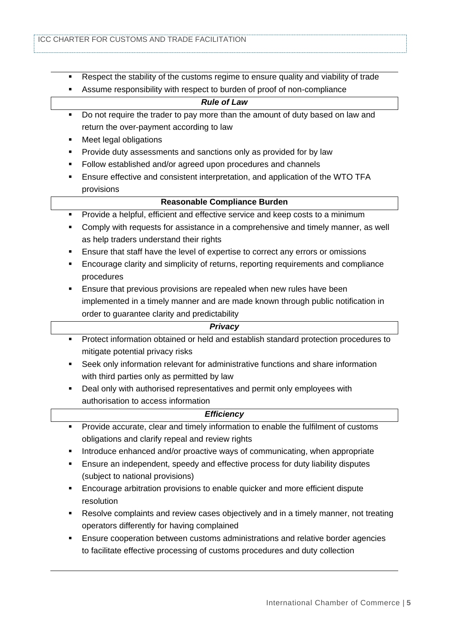- Respect the stability of the customs regime to ensure quality and viability of trade
- Assume responsibility with respect to burden of proof of non-compliance

#### *Rule of Law*

- Do not require the trader to pay more than the amount of duty based on law and return the over-payment according to law
- **Neet legal obligations**
- **Provide duty assessments and sanctions only as provided for by law**
- **Follow established and/or agreed upon procedures and channels**
- Ensure effective and consistent interpretation, and application of the WTO TFA provisions

#### **Reasonable Compliance Burden**

- **Provide a helpful, efficient and effective service and keep costs to a minimum**
- Comply with requests for assistance in a comprehensive and timely manner, as well as help traders understand their rights
- Ensure that staff have the level of expertise to correct any errors or omissions
- Encourage clarity and simplicity of returns, reporting requirements and compliance procedures
- **Ensure that previous provisions are repealed when new rules have been** implemented in a timely manner and are made known through public notification in order to guarantee clarity and predictability

#### *Privacy*

- Protect information obtained or held and establish standard protection procedures to mitigate potential privacy risks
- Seek only information relevant for administrative functions and share information with third parties only as permitted by law
- **•** Deal only with authorised representatives and permit only employees with authorisation to access information

#### *Efficiency*

- Provide accurate, clear and timely information to enable the fulfilment of customs obligations and clarify repeal and review rights
- Introduce enhanced and/or proactive ways of communicating, when appropriate
- Ensure an independent, speedy and effective process for duty liability disputes (subject to national provisions)
- Encourage arbitration provisions to enable quicker and more efficient dispute resolution
- Resolve complaints and review cases objectively and in a timely manner, not treating operators differently for having complained
- Ensure cooperation between customs administrations and relative border agencies to facilitate effective processing of customs procedures and duty collection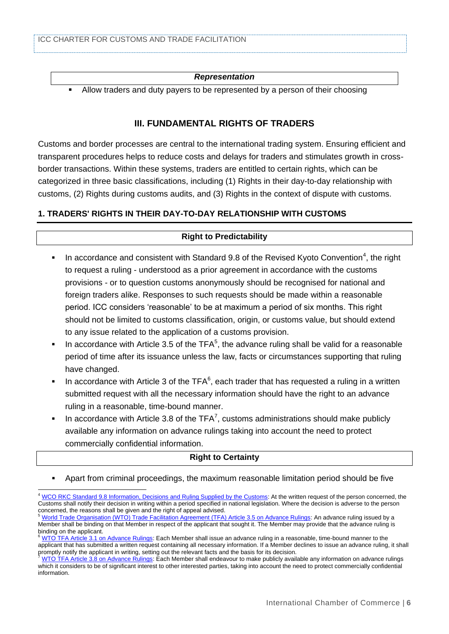#### *Representation*

Allow traders and duty payers to be represented by a person of their choosing

### **III. FUNDAMENTAL RIGHTS OF TRADERS**

Customs and border processes are central to the international trading system. Ensuring efficient and transparent procedures helps to reduce costs and delays for traders and stimulates growth in crossborder transactions. Within these systems, traders are entitled to certain rights, which can be categorized in three basic classifications, including (1) Rights in their day-to-day relationship with customs, (2) Rights during customs audits, and (3) Rights in the context of dispute with customs.

# **1. TRADERS' RIGHTS IN THEIR DAY-TO-DAY RELATIONSHIP WITH CUSTOMS**

#### **Right to Predictability**

- In accordance and consistent with Standard 9.8 of the Revised Kyoto Convention<sup>4</sup>, the right to request a ruling - understood as a prior agreement in accordance with the customs provisions - or to question customs anonymously should be recognised for national and foreign traders alike. Responses to such requests should be made within a reasonable period. ICC considers 'reasonable' to be at maximum a period of six months. This right should not be limited to customs classification, origin, or customs value, but should extend to any issue related to the application of a customs provision.
- In accordance with Article 3.5 of the TFA<sup>5</sup>, the advance ruling shall be valid for a reasonable period of time after its issuance unless the law, facts or circumstances supporting that ruling have changed.
- In accordance with Article 3 of the TFA $6$ , each trader that has requested a ruling in a written submitted request with all the necessary information should have the right to an advance ruling in a reasonable, time-bound manner.
- In accordance with Article 3.8 of the TFA<sup>7</sup>, customs administrations should make publicly available any information on advance rulings taking into account the need to protect commercially confidential information.

# **Right to Certainty**

Apart from criminal proceedings, the maximum reasonable limitation period should be five

 <sup>4</sup> [WCO RKC Standard 9.8 Information, Decisions and Ruling Supplied by the Customs:](http://www.wcoomd.org/en/topics/facilitation/instrument-and-tools/conventions/pf_revised_kyoto_conv/kyoto_new/gach9.aspx) At the written request of the person concerned, the Customs shall notify their decision in writing within a period specified in national legislation. Where the decision is adverse to the person

concerned, the reasons shall be given and the right of appeal advised.<br><sup>5</sup> [World Trade Organisation \(WTO\) Trade Facilitation Agreement \(TFA\) Article 3.5 on Advance Rulings:](https://www.wto.org/english/docs_e/legal_e/tfa-nov14_e.htm#art3) An advance ruling issued by a Member shall be binding on that Member in respect of the applicant that sought it. The Member may provide that the advance ruling is binding on the applicant.

 $^6$  [WTO TFA Article 3.1 on Advance Rulings:](https://www.wto.org/english/docs_e/legal_e/tfa-nov14_e.htm#art3) Each Member shall issue an advance ruling in a reasonable, time-bound manner to the applicant that has submitted a written request containing all necessary information. If a Member declines to issue an advance ruling, it shall promptly notify the applicant in writing, setting out the relevant facts and the basis for its decision.

[WTO TFA Article 3.8 on Advance Rulings:](https://www.wto.org/english/docs_e/legal_e/tfa-nov14_e.htm#art3) Each Member shall endeavour to make publicly available any information on advance rulings which it considers to be of significant interest to other interested parties, taking into account the need to protect commercially confidential information.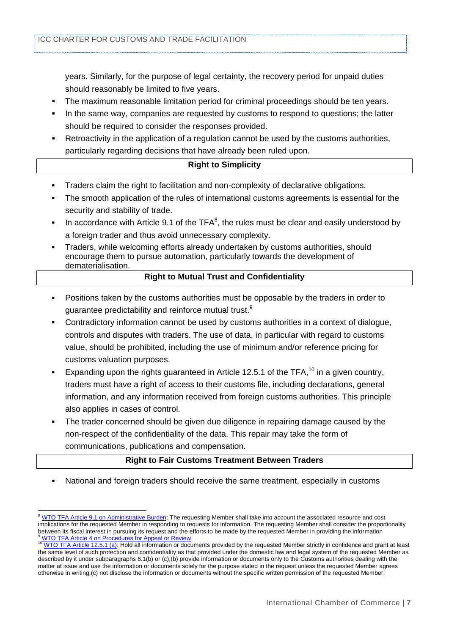years. Similarly, for the purpose of legal certainty, the recovery period for unpaid duties should reasonably be limited to five years.

- The maximum reasonable limitation period for criminal proceedings should be ten years.
- In the same way, companies are requested by customs to respond to questions; the latter should be required to consider the responses provided.
- Retroactivity in the application of a regulation cannot be used by the customs authorities, particularly regarding decisions that have already been ruled upon.

# **Right to Simplicity**

- Traders claim the right to facilitation and non-complexity of declarative obligations.
- The smooth application of the rules of international customs agreements is essential for the security and stability of trade.
- In accordance with Article 9.1 of the TFA<sup>8</sup>, the rules must be clear and easily understood by a foreign trader and thus avoid unnecessary complexity.
- Traders, while welcoming efforts already undertaken by customs authorities, should encourage them to pursue automation, particularly towards the development of dematerialisation.

#### **Right to Mutual Trust and Confidentiality**

- Positions taken by the customs authorities must be opposable by the traders in order to guarantee predictability and reinforce mutual trust.<sup>9</sup>
- Contradictory information cannot be used by customs authorities in a context of dialogue, controls and disputes with traders. The use of data, in particular with regard to customs value, should be prohibited, including the use of minimum and/or reference pricing for customs valuation purposes.
- Expanding upon the rights guaranteed in Article 12.5.1 of the TFA,  $10$  in a given country. traders must have a right of access to their customs file, including declarations, general information, and any information received from foreign customs authorities. This principle also applies in cases of control.
- The trader concerned should be given due diligence in repairing damage caused by the non-respect of the confidentiality of the data. This repair may take the form of communications, publications and compensation.

#### **Right to Fair Customs Treatment Between Traders**

National and foreign traders should receive the same treatment, especially in customs

 $\overline{a}$ <sup>8</sup> [WTO TFA Article 9.1 on Administrative Burden:](https://www.wto.org/english/docs_e/legal_e/tfa-nov14_e.htm#art9) The requesting Member shall take into account the associated resource and cost implications for the requested Member in responding to requests for information. The requesting Member shall consider the proportionality between its fiscal interest in pursuing its request and the efforts to be made by the requested Member in providing the information **[WTO TFA Article 4 on Procedures for Appeal or Review](https://www.wto.org/english/docs_e/legal_e/tfa-nov14_e.htm#art4)** 

<sup>&</sup>lt;sup>10</sup> [WTO TFA Article 12.5.1 \(a\):](https://www.wto.org/english/docs_e/legal_e/tfa-nov14_e.htm#art12) Hold all information or documents provided by the requested Member strictly in confidence and grant at least the same level of such protection and confidentiality as that provided under the domestic law and legal system of the requested Member as described by it under subparagraphs 6.1(b) or (c);(b) provide information or documents only to the Customs authorities dealing with the matter at issue and use the information or documents solely for the purpose stated in the request unless the requested Member agrees otherwise in writing;(c) not disclose the information or documents without the specific written permission of the requested Member;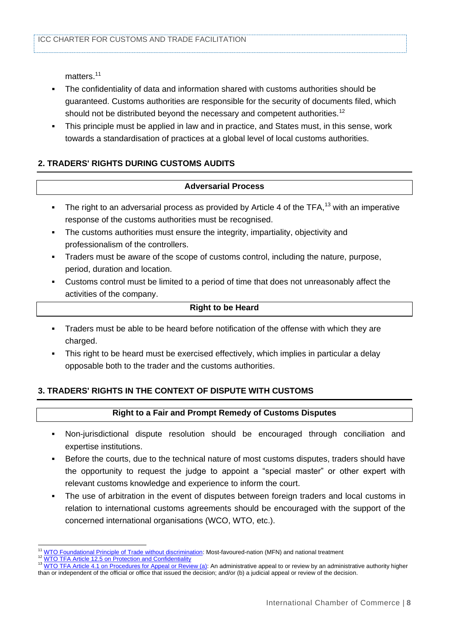matters.<sup>11</sup>

- The confidentiality of data and information shared with customs authorities should be guaranteed. Customs authorities are responsible for the security of documents filed, which should not be distributed beyond the necessary and competent authorities.<sup>12</sup>
- This principle must be applied in law and in practice, and States must, in this sense, work towards a standardisation of practices at a global level of local customs authorities.

# **2. TRADERS' RIGHTS DURING CUSTOMS AUDITS**

#### **Adversarial Process**

- The right to an adversarial process as provided by Article 4 of the TFA,<sup>13</sup> with an imperative response of the customs authorities must be recognised.
- The customs authorities must ensure the integrity, impartiality, objectivity and professionalism of the controllers.
- Traders must be aware of the scope of customs control, including the nature, purpose, period, duration and location.
- Customs control must be limited to a period of time that does not unreasonably affect the activities of the company.

#### **Right to be Heard**

- Traders must be able to be heard before notification of the offense with which they are charged.
- This right to be heard must be exercised effectively, which implies in particular a delay opposable both to the trader and the customs authorities.

# **3. TRADERS' RIGHTS IN THE CONTEXT OF DISPUTE WITH CUSTOMS**

#### **Right to a Fair and Prompt Remedy of Customs Disputes**

- Non-jurisdictional dispute resolution should be encouraged through conciliation and expertise institutions.
- Before the courts, due to the technical nature of most customs disputes, traders should have the opportunity to request the judge to appoint a "special master" or other expert with relevant customs knowledge and experience to inform the court.
- The use of arbitration in the event of disputes between foreign traders and local customs in relation to international customs agreements should be encouraged with the support of the concerned international organisations (WCO, WTO, etc.).

 <sup>11</sup> [WTO Foundational Principle of Trade without discrimination:](https://www.wto.org/english/thewto_e/whatis_e/tif_e/fact2_e.htm) Most-favoured-nation (MFN) and national treatment

[WTO TFA Article 12.5 on Protection and Confidentiality](https://www.wto.org/english/docs_e/legal_e/tfa-nov14_e.htm#art12)

[WTO TFA Article 4.1 on Procedures for Appeal or Review \(a\):](https://www.wto.org/english/docs_e/legal_e/tfa-nov14_e.htm) An administrative appeal to or review by an administrative authority higher than or independent of the official or office that issued the decision; and/or (b) a judicial appeal or review of the decision.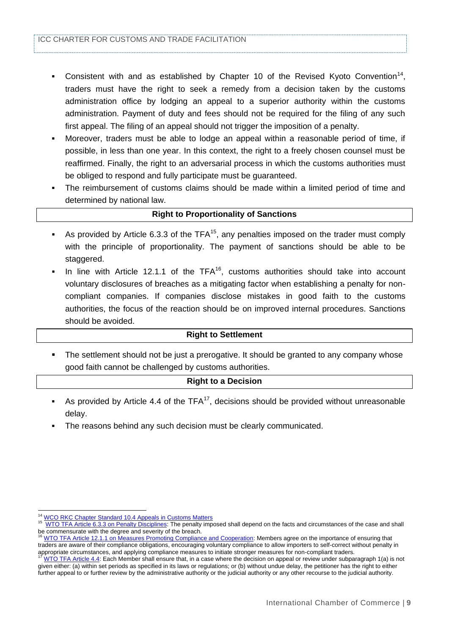- **Consistent with and as established by Chapter 10 of the Revised Kyoto Convention**<sup>14</sup>, traders must have the right to seek a remedy from a decision taken by the customs administration office by lodging an appeal to a superior authority within the customs administration. Payment of duty and fees should not be required for the filing of any such first appeal. The filing of an appeal should not trigger the imposition of a penalty.
- Moreover, traders must be able to lodge an appeal within a reasonable period of time, if possible, in less than one year. In this context, the right to a freely chosen counsel must be reaffirmed. Finally, the right to an adversarial process in which the customs authorities must be obliged to respond and fully participate must be guaranteed.
- The reimbursement of customs claims should be made within a limited period of time and determined by national law.

#### **Right to Proportionality of Sanctions**

- As provided by Article 6.3.3 of the TFA<sup>15</sup>, any penalties imposed on the trader must comply with the principle of proportionality. The payment of sanctions should be able to be staggered.
- In line with Article 12.1.1 of the TFA<sup>16</sup>, customs authorities should take into account voluntary disclosures of breaches as a mitigating factor when establishing a penalty for noncompliant companies. If companies disclose mistakes in good faith to the customs authorities, the focus of the reaction should be on improved internal procedures. Sanctions should be avoided.

#### **Right to Settlement**

 The settlement should not be just a prerogative. It should be granted to any company whose good faith cannot be challenged by customs authorities.

#### **Right to a Decision**

- As provided by Article 4.4 of the TFA $17$ , decisions should be provided without unreasonable delay.
- The reasons behind any such decision must be clearly communicated.

 $\overline{a}$ <sup>14</sup> [WCO RKC Chapter Standard 10.4 Appeals in Customs Matters](http://www.wcoomd.org/en/topics/facilitation/instrument-and-tools/conventions/pf_revised_kyoto_conv/kyoto_new/gach10.aspx)<br><sup>15</sup> WTO TEA Article 6.3.3 on Penelty Disciplines: The penelty imp

WTO TFA Article 6.3.3 on Penalty Disciplines: The penalty imposed shall depend on the facts and circumstances of the case and shall be commensurate with the degree and severity of the breach.

<sup>16</sup> [WTO TFA Article 12.1.1 on Measures Promoting Compliance and Cooperation:](https://www.wto.org/english/docs_e/legal_e/tfa-nov14_e.htm#art12) Members agree on the importance of ensuring that traders are aware of their compliance obligations, encouraging voluntary compliance to allow importers to self-correct without penalty in appropriate circumstances, and applying compliance measures to initiate stronger measures for non-compliant traders.

<sup>17</sup> [WTO TFA Article 4.4:](https://www.wto.org/english/docs_e/legal_e/tfa-nov14_e.htm#art4) Each Member shall ensure that, in a case where the decision on appeal or review under subparagraph 1(a) is not given either: (a) within set periods as specified in its laws or regulations; or (b) without undue delay, the petitioner has the right to either further appeal to or further review by the administrative authority or the judicial authority or any other recourse to the judicial authority.